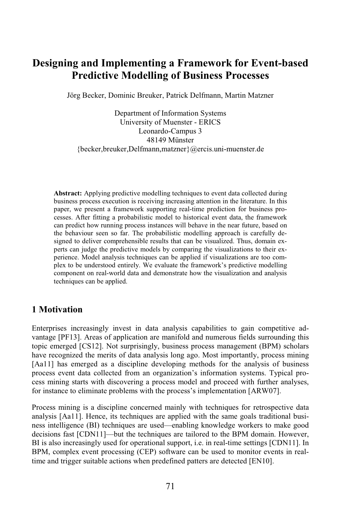# **Designing and Implementing a Framework for Event-based Predictive Modelling of Business Processes**

Jörg Becker, Dominic Breuker, Patrick Delfmann, Martin Matzner

Department of Information Systems University of Muenster - ERICS Leonardo-Campus 3 48149 Münster {becker,breuker,Delfmann,matzner}@ercis.uni-muenster.de

**Abstract:** Applying predictive modelling techniques to event data collected during business process execution is receiving increasing attention in the literature. In this paper, we present a framework supporting real-time prediction for business processes. After fitting a probabilistic model to historical event data, the framework can predict how running process instances will behave in the near future, based on the behaviour seen so far. The probabilistic modelling approach is carefully designed to deliver comprehensible results that can be visualized. Thus, domain experts can judge the predictive models by comparing the visualizations to their experience. Model analysis techniques can be applied if visualizations are too complex to be understood entirely. We evaluate the framework's predictive modelling component on real-world data and demonstrate how the visualization and analysis techniques can be applied.

## **1 Motivation**

Enterprises increasingly invest in data analysis capabilities to gain competitive advantage [PF13]. Areas of application are manifold and numerous fields surrounding this topic emerged [CS12]. Not surprisingly, business process management (BPM) scholars have recognized the merits of data analysis long ago. Most importantly, process mining [Aa11] has emerged as a discipline developing methods for the analysis of business process event data collected from an organization's information systems. Typical process mining starts with discovering a process model and proceed with further analyses, for instance to eliminate problems with the process's implementation [ARW07].

Process mining is a discipline concerned mainly with techniques for retrospective data analysis [Aa11]. Hence, its techniques are applied with the same goals traditional business intelligence (BI) techniques are used—enabling knowledge workers to make good decisions fast [CDN11]—but the techniques are tailored to the BPM domain. However, BI is also increasingly used for operational support, i.e. in real-time settings [CDN11]. In BPM, complex event processing (CEP) software can be used to monitor events in realtime and trigger suitable actions when predefined patters are detected [EN10].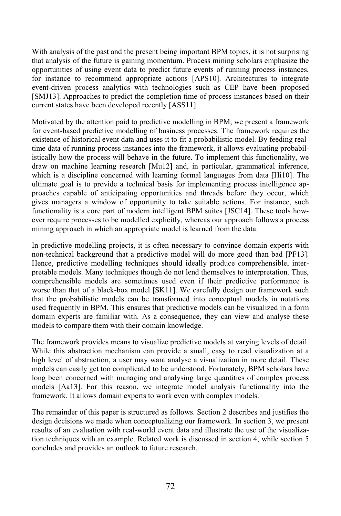With analysis of the past and the present being important BPM topics, it is not surprising that analysis of the future is gaining momentum. Process mining scholars emphasize the opportunities of using event data to predict future events of running process instances, for instance to recommend appropriate actions [APS10]. Architectures to integrate event-driven process analytics with technologies such as CEP have been proposed [SMJ13]. Approaches to predict the completion time of process instances based on their current states have been developed recently [ASS11].

Motivated by the attention paid to predictive modelling in BPM, we present a framework for event-based predictive modelling of business processes. The framework requires the existence of historical event data and uses it to fit a probabilistic model. By feeding realtime data of running process instances into the framework, it allows evaluating probabilistically how the process will behave in the future. To implement this functionality, we draw on machine learning research [Mu12] and, in particular, grammatical inference, which is a discipline concerned with learning formal languages from data [Hi10]. The ultimate goal is to provide a technical basis for implementing process intelligence approaches capable of anticipating opportunities and threads before they occur, which gives managers a window of opportunity to take suitable actions. For instance, such functionality is a core part of modern intelligent BPM suites [JSC14]. These tools however require processes to be modelled explicitly, whereas our approach follows a process mining approach in which an appropriate model is learned from the data.

In predictive modelling projects, it is often necessary to convince domain experts with non-technical background that a predictive model will do more good than bad [PF13]. Hence, predictive modelling techniques should ideally produce comprehensible, interpretable models. Many techniques though do not lend themselves to interpretation. Thus, comprehensible models are sometimes used even if their predictive performance is worse than that of a black-box model [SK11]. We carefully design our framework such that the probabilistic models can be transformed into conceptual models in notations used frequently in BPM. This ensures that predictive models can be visualized in a form domain experts are familiar with. As a consequence, they can view and analyse these models to compare them with their domain knowledge.

The framework provides means to visualize predictive models at varying levels of detail. While this abstraction mechanism can provide a small, easy to read visualization at a high level of abstraction, a user may want analyse a visualization in more detail. These models can easily get too complicated to be understood. Fortunately, BPM scholars have long been concerned with managing and analysing large quantities of complex process models [Aa13]. For this reason, we integrate model analysis functionality into the framework. It allows domain experts to work even with complex models.

The remainder of this paper is structured as follows. Section 2 describes and justifies the design decisions we made when conceptualizing our framework. In section 3, we present results of an evaluation with real-world event data and illustrate the use of the visualization techniques with an example. Related work is discussed in section 4, while section 5 concludes and provides an outlook to future research.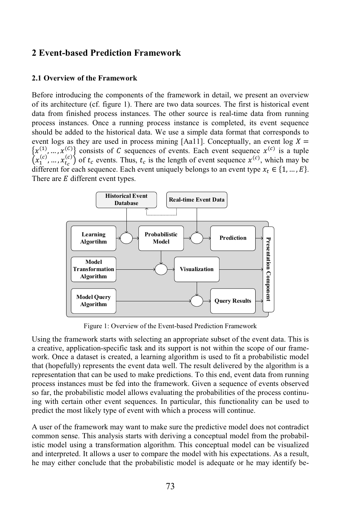## **2 Event-based Prediction Framework**

#### **2.1 Overview of the Framework**

Before introducing the components of the framework in detail, we present an overview of its architecture (cf. figure 1). There are two data sources. The first is historical event data from finished process instances. The other source is real-time data from running process instances. Once a running process instance is completed, its event sequence should be added to the historical data. We use a simple data format that corresponds to event logs as they are used in process mining [Aa11]. Conceptually, an event log  $X =$  $\{x_{i_1}^{(1)},...,x_{i_s}^{(c)}\}$  consists of C sequences of events. Each event sequence  $x_{i_1}^{(c)}$  is a tuple  $\left(x_1^{(c)},...,x_{t_c}^{(c)}\right)$  of  $t_c$  events. Thus,  $t_c$  is the length of event sequence  $x^{(c)}$ , which may be different for each sequence. Each event uniquely belongs to an event type  $x_t \in \{1, ..., E\}$ . There are  $E$  different event types.



Figure 1: Overview of the Event-based Prediction Framework

Using the framework starts with selecting an appropriate subset of the event data. This is a creative, application-specific task and its support is not within the scope of our framework. Once a dataset is created, a learning algorithm is used to fit a probabilistic model that (hopefully) represents the event data well. The result delivered by the algorithm is a representation that can be used to make predictions. To this end, event data from running process instances must be fed into the framework. Given a sequence of events observed so far, the probabilistic model allows evaluating the probabilities of the process continuing with certain other event sequences. In particular, this functionality can be used to predict the most likely type of event with which a process will continue.

A user of the framework may want to make sure the predictive model does not contradict common sense. This analysis starts with deriving a conceptual model from the probabilistic model using a transformation algorithm. This conceptual model can be visualized and interpreted. It allows a user to compare the model with his expectations. As a result, he may either conclude that the probabilistic model is adequate or he may identify be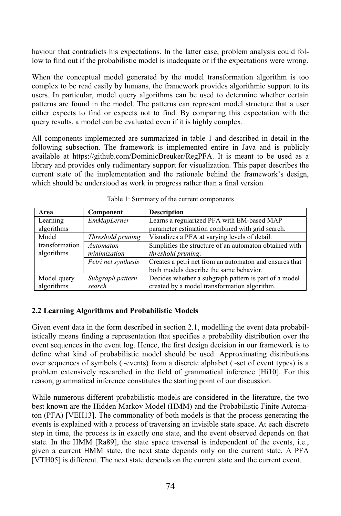haviour that contradicts his expectations. In the latter case, problem analysis could follow to find out if the probabilistic model is inadequate or if the expectations were wrong.

When the conceptual model generated by the model transformation algorithm is too complex to be read easily by humans, the framework provides algorithmic support to its users. In particular, model query algorithms can be used to determine whether certain patterns are found in the model. The patterns can represent model structure that a user either expects to find or expects not to find. By comparing this expectation with the query results, a model can be evaluated even if it is highly complex.

All components implemented are summarized in table 1 and described in detail in the following subsection. The framework is implemented entire in Java and is publicly available at https://github.com/DominicBreuker/RegPFA. It is meant to be used as a library and provides only rudimentary support for visualization. This paper describes the current state of the implementation and the rationale behind the framework's design, which should be understood as work in progress rather than a final version.

| Area           | Component           | <b>Description</b>                                     |  |  |
|----------------|---------------------|--------------------------------------------------------|--|--|
| Learning       | EmMapLerner         | Learns a regularized PFA with EM-based MAP             |  |  |
| algorithms     |                     | parameter estimation combined with grid search.        |  |  |
| Model          | Threshold pruning   | Visualizes a PFA at varying levels of detail.          |  |  |
| transformation | Automaton           | Simplifies the structure of an automaton obtained with |  |  |
| algorithms     | minimization        | threshold pruning.                                     |  |  |
|                | Petri net synthesis | Creates a petri net from an automaton and ensures that |  |  |
|                |                     | both models describe the same behavior.                |  |  |
| Model query    | Subgraph pattern    | Decides whether a subgraph pattern is part of a model  |  |  |
| algorithms     | search              | created by a model transformation algorithm.           |  |  |

### **2.2 Learning Algorithms and Probabilistic Models**

Given event data in the form described in section 2.1, modelling the event data probabilistically means finding a representation that specifies a probability distribution over the event sequences in the event log. Hence, the first design decision in our framework is to define what kind of probabilistic model should be used. Approximating distributions over sequences of symbols (~events) from a discrete alphabet (~set of event types) is a problem extensively researched in the field of grammatical inference [Hi10]. For this reason, grammatical inference constitutes the starting point of our discussion.

While numerous different probabilistic models are considered in the literature, the two best known are the Hidden Markov Model (HMM) and the Probabilistic Finite Automaton (PFA) [VEH13]. The commonality of both models is that the process generating the events is explained with a process of traversing an invisible state space. At each discrete step in time, the process is in exactly one state, and the event observed depends on that state. In the HMM [Ra89], the state space traversal is independent of the events, i.e., given a current HMM state, the next state depends only on the current state. A PFA [VTH05] is different. The next state depends on the current state and the current event.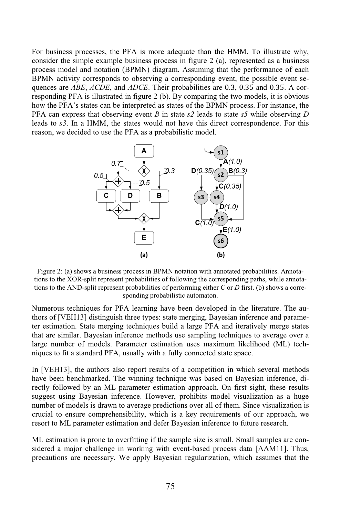For business processes, the PFA is more adequate than the HMM. To illustrate why, consider the simple example business process in figure 2 (a), represented as a business process model and notation (BPMN) diagram. Assuming that the performance of each BPMN activity corresponds to observing a corresponding event, the possible event sequences are *ABE*, *ACDE*, and *ADCE*. Their probabilities are 0.3, 0.35 and 0.35. A corresponding PFA is illustrated in figure 2 (b). By comparing the two models, it is obvious how the PFA's states can be interpreted as states of the BPMN process. For instance, the PFA can express that observing event *B* in state *s2* leads to state *s5* while observing *D* leads to *s3*. In a HMM, the states would not have this direct correspondence. For this reason, we decided to use the PFA as a probabilistic model.



Figure 2: (a) shows a business process in BPMN notation with annotated probabilities. Annotations to the XOR-split represent probabilities of following the corresponding paths, while annotations to the AND-split represent probabilities of performing either *C* or *D* first. (b) shows a corresponding probabilistic automaton.

Numerous techniques for PFA learning have been developed in the literature. The authors of [VEH13] distinguish three types: state merging, Bayesian inference and parameter estimation. State merging techniques build a large PFA and iteratively merge states that are similar. Bayesian inference methods use sampling techniques to average over a large number of models. Parameter estimation uses maximum likelihood (ML) techniques to fit a standard PFA, usually with a fully connected state space.

In [VEH13], the authors also report results of a competition in which several methods have been benchmarked. The winning technique was based on Bayesian inference, directly followed by an ML parameter estimation approach. On first sight, these results suggest using Bayesian inference. However, prohibits model visualization as a huge number of models is drawn to average predictions over all of them. Since visualization is crucial to ensure comprehensibility, which is a key requirements of our approach, we resort to ML parameter estimation and defer Bayesian inference to future research.

ML estimation is prone to overfitting if the sample size is small. Small samples are considered a major challenge in working with event-based process data [AAM11]. Thus, precautions are necessary. We apply Bayesian regularization, which assumes that the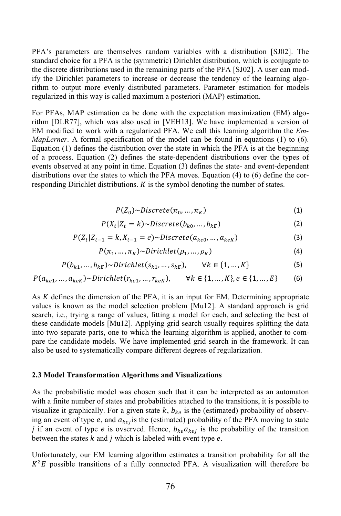PFA's parameters are themselves random variables with a distribution [SJ02]. The standard choice for a PFA is the (symmetric) Dirichlet distribution, which is conjugate to the discrete distributions used in the remaining parts of the PFA [SJ02]. A user can modify the Dirichlet parameters to increase or decrease the tendency of the learning algorithm to output more evenly distributed parameters. Parameter estimation for models regularized in this way is called maximum a posteriori (MAP) estimation.

For PFAs, MAP estimation ca be done with the expectation maximization (EM) algorithm [DLR77], which was also used in [VEH13]. We have implemented a version of EM modified to work with a regularized PFA. We call this learning algorithm the *Em-MapLerner*. A formal specification of the model can be found in equations (1) to (6). Equation (1) defines the distribution over the state in which the PFA is at the beginning of a process. Equation (2) defines the state-dependent distributions over the types of events observed at any point in time. Equation (3) defines the state- and event-dependent distributions over the states to which the PFA moves. Equation (4) to (6) define the corresponding Dirichlet distributions.  $K$  is the symbol denoting the number of states.

$$
P(Z_0) \sim Discrete(\pi_0, ..., \pi_K)
$$
 (1)

$$
P(X_t|Z_t = k) \sim Discrete(b_{k0}, ..., b_{kE})
$$
\n<sup>(2)</sup>

$$
P(Z_t|Z_{t-1} = k, X_{t-1} = e) \sim Discrete(a_{ke0}, ..., a_{keK})
$$
\n(3)

$$
P(\pi_1, \dots, \pi_K) \sim Dirichlet(\rho_1, \dots, \rho_K)
$$
\n(4)

$$
P(b_{k1},...,b_{kE}) \sim Dirichlet(s_{k1},...,s_{kE}), \quad \forall k \in \{1,...,K\}
$$
 (5)

$$
P(a_{ke1},...,a_{keK}) \sim Dirichlet(r_{ke1},...,r_{keK}), \qquad \forall k \in \{1,...,K\}, e \in \{1,...,E\}
$$
 (6)

As K defines the dimension of the PFA, it is an input for EM. Determining appropriate values is known as the model selection problem [Mu12]. A standard approach is grid search, i.e., trying a range of values, fitting a model for each, and selecting the best of these candidate models [Mu12]. Applying grid search usually requires splitting the data into two separate parts, one to which the learning algorithm is applied, another to compare the candidate models. We have implemented grid search in the framework. It can also be used to systematically compare different degrees of regularization.

#### **2.3 Model Transformation Algorithms and Visualizations**

As the probabilistic model was chosen such that it can be interpreted as an automaton with a finite number of states and probabilities attached to the transitions, it is possible to visualize it graphically. For a given state  $k$ ,  $b_{ke}$  is the (estimated) probability of observing an event of type  $e$ , and  $a_{kej}$  is the (estimated) probability of the PFA moving to state j if an event of type e is ovserved. Hence,  $b_{ke}a_{kej}$  is the probability of the transition between the states  $k$  and  $j$  which is labeled with event type  $e$ .

Unfortunately, our EM learning algorithm estimates a transition probability for all the  $K^2E$  possible transitions of a fully connected PFA. A visualization will therefore be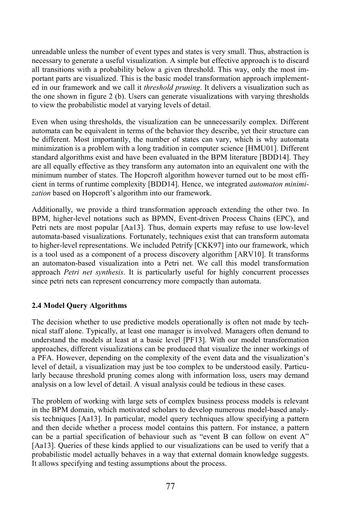unreadable unless the number of event types and states is very small. Thus, abstraction is necessary to generate a useful visualization. A simple but effective approach is to discard all transitions with a probability below a given threshold. This way, only the most important parts are visualized. This is the basic model transformation approach implemented in our framework and we call it *threshold pruning*. It delivers a visualization such as the one shown in figure 2 (b). Users can generate visualizations with varying thresholds to view the probabilistic model at varying levels of detail.

Even when using thresholds, the visualization can be unnecessarily complex. Different automata can be equivalent in terms of the behavior they describe, yet their structure can be different. Most importantly, the number of states can vary, which is why automata minimization is a problem with a long tradition in computer science [HMU01]. Different standard algorithms exist and have been evaluated in the BPM literature [BDD14]. They are all equally effective as they transform any automaton into an equivalent one with the minimum number of states. The Hopcroft algorithm however turned out to be most efficient in terms of runtime complexity [BDD14]. Hence, we integrated *automaton minimization* based on Hopcroft's algorithm into our framework.

Additionally, we provide a third transformation approach extending the other two. In BPM, higher-level notations such as BPMN, Event-driven Process Chains (EPC), and Petri nets are most popular [Aa13]. Thus, domain experts may refuse to use low-level automata-based visualizations. Fortunately, techniques exist that can transform automata to higher-level representations. We included Petrify [CKK97] into our framework, which is a tool used as a component of a process discovery algorithm [ARV10]. It transforms an automaton-based visualization into a Petri net. We call this model transformation approach *Petri net synthesis*. It is particularly useful for highly concurrent processes since petri nets can represent concurrency more compactly than automata.

### **2.4 Model Query Algorithms**

The decision whether to use predictive models operationally is often not made by technical staff alone. Typically, at least one manager is involved. Managers often demand to understand the models at least at a basic level [PF13]. With our model transformation approaches, different visualizations can be produced that visualize the inner workings of a PFA. However, depending on the complexity of the event data and the visualization's level of detail, a visualization may just be too complex to be understood easily. Particularly because threshold pruning comes along with information loss, users may demand analysis on a low level of detail. A visual analysis could be tedious in these cases.

The problem of working with large sets of complex business process models is relevant in the BPM domain, which motivated scholars to develop numerous model-based analysis techniques [Aa13]. In particular, model query techniques allow specifying a pattern and then decide whether a process model contains this pattern. For instance, a pattern can be a partial specification of behaviour such as "event B can follow on event A" [Aa13]. Queries of these kinds applied to our visualizations can be used to verify that a probabilistic model actually behaves in a way that external domain knowledge suggests. It allows specifying and testing assumptions about the process.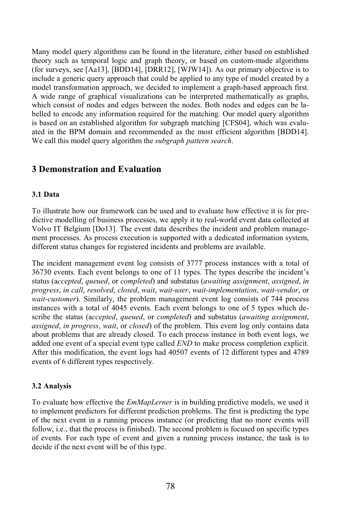Many model query algorithms can be found in the literature, either based on established theory such as temporal logic and graph theory, or based on custom-made algorithms (for surveys, see [Aa13], [BDD14], [DRR12], [WJW14]). As our primary objective is to include a generic query approach that could be applied to any type of model created by a model transformation approach, we decided to implement a graph-based approach first. A wide range of graphical visualizations can be interpreted mathematically as graphs, which consist of nodes and edges between the nodes. Both nodes and edges can be labelled to encode any information required for the matching. Our model query algorithm is based on an established algorithm for subgraph matching [CFS04], which was evaluated in the BPM domain and recommended as the most efficient algorithm [BDD14]. We call this model query algorithm the *subgraph pattern search*.

## **3 Demonstration and Evaluation**

### **3.1 Data**

To illustrate how our framework can be used and to evaluate how effective it is for predictive modelling of business processes, we apply it to real-world event data collected at Volvo IT Belgium [Do13]. The event data describes the incident and problem management processes. As process execution is supported with a dedicated information system, different status changes for registered incidents and problems are available.

The incident management event log consists of 3777 process instances with a total of 36730 events. Each event belongs to one of 11 types. The types describe the incident's status (a*ccepted*, *queued*, or *completed*) and substatus (*awaiting assignment*, *assigned*, *in progress*, *in call*, *resolved*, *closed*, *wait*, *wait-user*, *wait-implementation*, *wait-vendor*, or *wait-customer*). Similarly, the problem management event log consists of 744 process instances with a total of 4045 events. Each event belongs to one of 5 types which describe the status (a*ccepted*, *queued*, or *completed*) and substatus (*awaiting assignment*, *assigned*, *in progress*, *wait*, or *closed*) of the problem. This event log only contains data about problems that are already closed. To each process instance in both event logs, we added one event of a special event type called *END* to make process completion explicit. After this modification, the event logs had 40507 events of 12 different types and 4789 events of 6 different types respectively.

### **3.2 Analysis**

To evaluate how effective the *EmMapLerner* is in building predictive models, we used it to implement predictors for different prediction problems. The first is predicting the type of the next event in a running process instance (or predicting that no more events will follow, i.e., that the process is finished). The second problem is focused on specific types of events. For each type of event and given a running process instance, the task is to decide if the next event will be of this type.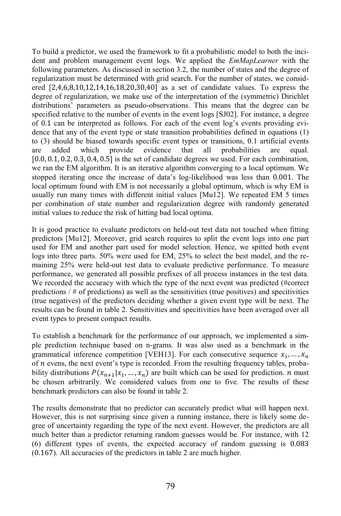To build a predictor, we used the framework to fit a probabilistic model to both the incident and problem management event logs. We applied the *EmMapLearner* with the following parameters. As discussed in section 3.2, the number of states and the degree of regularization must be determined with grid search. For the number of states, we considered [2,4,6,8,10,12,14,16,18,20,30,40] as a set of candidate values. To express the degree of regularization, we make use of the interpretation of the (symmetric) Dirichlet distributions' parameters as pseudo-observations. This means that the degree can be specified relative to the number of events in the event logs [SJ02]. For instance, a degree of 0.1 can be interpreted as follows. For each of the event log's events providing evidence that any of the event type or state transition probabilities defined in equations (1) to (3) should be biased towards specific event types or transitions, 0.1 artificial events are added which provide evidence that all probabilities are equal. [0.0, 0.1, 0.2, 0.3, 0.4, 0.5] is the set of candidate degrees we used. For each combination, we ran the EM algorithm. It is an iterative algorithm converging to a local optimum. We stopped iterating once the increase of data's log-likelihood was less than 0.001. The local optimum found with EM is not necessarily a global optimum, which is why EM is usually run many times with different initial values [Mu12]. We repeated EM 5 times per combination of state number and regularization degree with randomly generated initial values to reduce the risk of hitting bad local optima.

It is good practice to evaluate predictors on held-out test data not touched when fitting predictors [Mu12]. Moreover, grid search requires to split the event logs into one part used for EM and another part used for model selection. Hence, we spitted both event logs into three parts. 50% were used for EM, 25% to select the best model, and the remaining 25% were held-out test data to evaluate predictive performance. To measure performance, we generated all possible prefixes of all process instances in the test data. We recorded the accuracy with which the type of the next event was predicted (#correct predictions  $/$  # of predictions) as well as the sensitivities (true positives) and specifivities (true negatives) of the predictors deciding whether a given event type will be next. The results can be found in table 2. Sensitivities and specitivities have been averaged over all event types to present compact results.

To establish a benchmark for the performance of our approach, we implemented a simple prediction technique based on n-grams. It was also used as a benchmark in the grammatical inference competition [VEH13]. For each consecutive sequence  $x_1, \dots, x_n$ of  $n$  evens, the next event's type is recorded. From the resulting frequency tables, probability distributions  $P(x_{n+1}|x_1, ..., x_n)$  are built which can be used for prediction. *n* must be chosen arbitrarily. We considered values from one to five. The results of these benchmark predictors can also be found in table 2.

The results demonstrate that no predictor can accurately predict what will happen next. However, this is not surprising since given a running instance, there is likely some degree of uncertainty regarding the type of the next event. However, the predictors are all much better than a predictor returning random guesses would be. For instance, with 12 (6) different types of events, the expected accuracy of random guessing is 0.083 (0.167). All accuracies of the predictors in table 2 are much higher.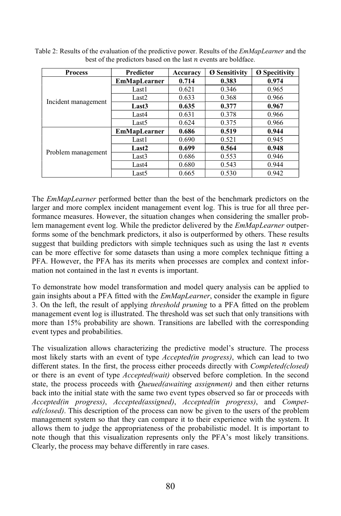| <b>Process</b>      | <b>Predictor</b>    | Accuracy | <b>Ø Sensitivity</b> | <b>Ø</b> Specitivity |
|---------------------|---------------------|----------|----------------------|----------------------|
|                     | <b>EmMapLearner</b> | 0.714    | 0.383                | 0.974                |
| Incident management | Last1               | 0.621    | 0.346                | 0.965                |
|                     | Last2               | 0.633    | 0.368                | 0.966                |
|                     | Last <sub>3</sub>   | 0.635    | 0.377                | 0.967                |
|                     | Last4               | 0.631    | 0.378                | 0.966                |
|                     | Last5               | 0.624    | 0.375                | 0.966                |
|                     | <b>EmMapLearner</b> | 0.686    | 0.519                | 0.944                |
|                     | Last1               | 0.690    | 0.521                | 0.945                |
| Problem management  | Last <sub>2</sub>   | 0.699    | 0.564                | 0.948                |
|                     | Last3               | 0.686    | 0.553                | 0.946                |
|                     | Last4               | 0.680    | 0.543                | 0.944                |
|                     | Last5               | 0.665    | 0.530                | 0.942                |

Table 2: Results of the evaluation of the predictive power. Results of the *EmMapLearner* and the best of the predictors based on the last  $n$  events are boldface.

The *EmMapLearner* performed better than the best of the benchmark predictors on the larger and more complex incident management event log. This is true for all three performance measures. However, the situation changes when considering the smaller problem management event log. While the predictor delivered by the *EmMapLearner* outperforms some of the benchmark predictors, it also is outperformed by others. These results suggest that building predictors with simple techniques such as using the last  $n$  events can be more effective for some datasets than using a more complex technique fitting a PFA. However, the PFA has its merits when processes are complex and context information not contained in the last  $n$  events is important.

To demonstrate how model transformation and model query analysis can be applied to gain insights about a PFA fitted with the *EmMapLearner*, consider the example in figure 3. On the left, the result of applying *threshold pruning* to a PFA fitted on the problem management event log is illustrated. The threshold was set such that only transitions with more than 15% probability are shown. Transitions are labelled with the corresponding event types and probabilities.

The visualization allows characterizing the predictive model's structure. The process most likely starts with an event of type *Accepted(in progress)*, which can lead to two different states. In the first, the process either proceeds directly with *Completed(closed)* or there is an event of type *Accepted(wait)* observed before completion. In the second state, the process proceeds with *Queued(awaiting assignment)* and then either returns back into the initial state with the same two event types observed so far or proceeds with *Accepted(in progress)*, *Accepted(assigned)*, *Accepted(in progress)*, and *Competed(closed)*. This description of the process can now be given to the users of the problem management system so that they can compare it to their experience with the system. It allows them to judge the appropriateness of the probabilistic model. It is important to note though that this visualization represents only the PFA's most likely transitions. Clearly, the process may behave differently in rare cases.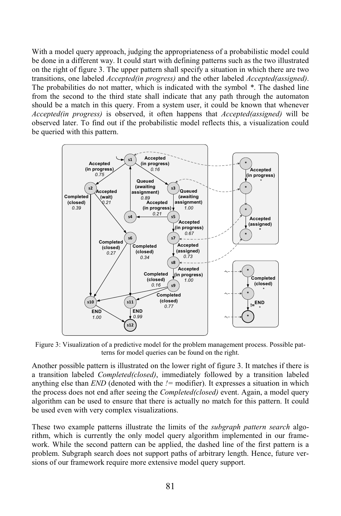With a model query approach, judging the appropriateness of a probabilistic model could be done in a different way. It could start with defining patterns such as the two illustrated on the right of figure 3. The upper pattern shall specify a situation in which there are two transitions, one labeled *Accepted(in progress)* and the other labeled *Accepted(assigned)*. The probabilities do not matter, which is indicated with the symbol *\**. The dashed line from the second to the third state shall indicate that any path through the automaton should be a match in this query. From a system user, it could be known that whenever *Accepted(in progress)* is observed, it often happens that *Accepted(assigned)* will be observed later. To find out if the probabilistic model reflects this, a visualization could be queried with this pattern.



Figure 3: Visualization of a predictive model for the problem management process. Possible patterns for model queries can be found on the right.

Another possible pattern is illustrated on the lower right of figure 3. It matches if there is a transition labeled *Completed(closed)*, immediately followed by a transition labeled anything else than *END* (denoted with the *!=* modifier). It expresses a situation in which the process does not end after seeing the *Completed(closed)* event. Again, a model query algorithm can be used to ensure that there is actually no match for this pattern. It could be used even with very complex visualizations.

These two example patterns illustrate the limits of the *subgraph pattern search* algorithm, which is currently the only model query algorithm implemented in our framework. While the second pattern can be applied, the dashed line of the first pattern is a problem. Subgraph search does not support paths of arbitrary length. Hence, future versions of our framework require more extensive model query support.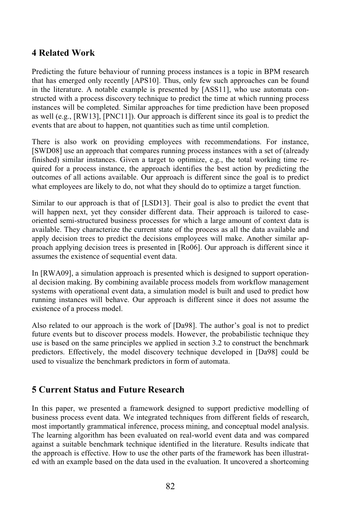## **4 Related Work**

Predicting the future behaviour of running process instances is a topic in BPM research that has emerged only recently [APS10]. Thus, only few such approaches can be found in the literature. A notable example is presented by [ASS11], who use automata constructed with a process discovery technique to predict the time at which running process instances will be completed. Similar approaches for time prediction have been proposed as well (e.g., [RW13], [PNC11]). Our approach is different since its goal is to predict the events that are about to happen, not quantities such as time until completion.

There is also work on providing employees with recommendations. For instance, [SWD08] use an approach that compares running process instances with a set of (already finished) similar instances. Given a target to optimize, e.g., the total working time required for a process instance, the approach identifies the best action by predicting the outcomes of all actions available. Our approach is different since the goal is to predict what employees are likely to do, not what they should do to optimize a target function.

Similar to our approach is that of [LSD13]. Their goal is also to predict the event that will happen next, yet they consider different data. Their approach is tailored to caseoriented semi-structured business processes for which a large amount of context data is available. They characterize the current state of the process as all the data available and apply decision trees to predict the decisions employees will make. Another similar approach applying decision trees is presented in [Ro06]. Our approach is different since it assumes the existence of sequential event data.

In [RWA09], a simulation approach is presented which is designed to support operational decision making. By combining available process models from workflow management systems with operational event data, a simulation model is built and used to predict how running instances will behave. Our approach is different since it does not assume the existence of a process model.

Also related to our approach is the work of [Da98]. The author's goal is not to predict future events but to discover process models. However, the probabilistic technique they use is based on the same principles we applied in section 3.2 to construct the benchmark predictors. Effectively, the model discovery technique developed in [Da98] could be used to visualize the benchmark predictors in form of automata.

## **5 Current Status and Future Research**

In this paper, we presented a framework designed to support predictive modelling of business process event data. We integrated techniques from different fields of research, most importantly grammatical inference, process mining, and conceptual model analysis. The learning algorithm has been evaluated on real-world event data and was compared against a suitable benchmark technique identified in the literature. Results indicate that the approach is effective. How to use the other parts of the framework has been illustrated with an example based on the data used in the evaluation. It uncovered a shortcoming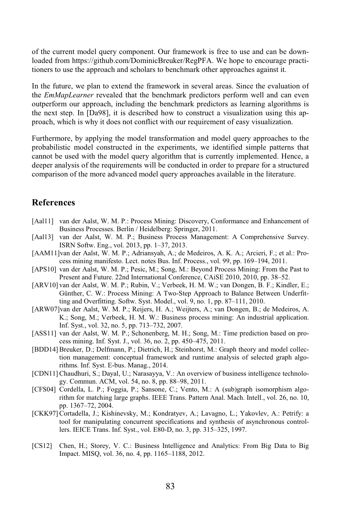of the current model query component. Our framework is free to use and can be downloaded from https://github.com/DominicBreuker/RegPFA. We hope to encourage practitioners to use the approach and scholars to benchmark other approaches against it.

In the future, we plan to extend the framework in several areas. Since the evaluation of the *EmMapLearner* revealed that the benchmark predictors perform well and can even outperform our approach, including the benchmark predictors as learning algorithms is the next step. In [Da98], it is described how to construct a visualization using this approach, which is why it does not conflict with our requirement of easy visualization.

Furthermore, by applying the model transformation and model query approaches to the probabilistic model constructed in the experiments, we identified simple patterns that cannot be used with the model query algorithm that is currently implemented. Hence, a deeper analysis of the requirements will be conducted in order to prepare for a structured comparison of the more advanced model query approaches available in the literature.

## **References**

- [Aal11] van der Aalst, W. M. P.: Process Mining: Discovery, Conformance and Enhancement of Business Processes. Berlin / Heidelberg: Springer, 2011.
- [Aal13] van der Aalst, W. M. P.; Business Process Management: A Comprehensive Survey. ISRN Softw. Eng., vol. 2013, pp. 1–37, 2013.
- [AAM11]van der Aalst, W. M. P.; Adriansyah, A.; de Medeiros, A. K. A.; Arcieri, F.; et al.: Process mining manifesto. Lect. notes Bus. Inf. Process., vol. 99, pp. 169–194, 2011.
- [APS10] van der Aalst, W. M. P.; Pesic, M.; Song, M.: Beyond Process Mining: From the Past to Present and Future. 22nd International Conference, CAiSE 2010, 2010, pp. 38–52.
- [ARV10] van der Aalst, W. M. P.; Rubin, V.; Verbeek, H. M. W.; van Dongen, B. F.; Kindler, E.; Günther, C. W.: Process Mining: A Two-Step Approach to Balance Between Underfitting and Overfitting. Softw. Syst. Model., vol. 9, no. 1, pp. 87–111, 2010.
- [ARW07]van der Aalst, W. M. P.; Reijers, H. A.; Weijters, A.; van Dongen, B.; de Medeiros, A. K.; Song, M.; Verbeek, H. M. W.: Business process mining: An industrial application. Inf. Syst., vol. 32, no. 5, pp. 713–732, 2007.
- [ASS11] van der Aalst, W. M. P.; Schonenberg, M. H.; Song, M.: Time prediction based on process mining. Inf. Syst. J., vol. 36, no. 2, pp. 450–475, 2011.
- [BDD14] Breuker, D.; Delfmann, P.; Dietrich, H.; Steinhorst, M.: Graph theory and model collection management: conceptual framework and runtime analysis of selected graph algorithms. Inf. Syst. E-bus. Manag., 2014.
- [CDN11]Chaudhuri, S.; Dayal, U.; Narasayya, V.: An overview of business intelligence technology. Commun. ACM, vol. 54, no. 8, pp. 88–98, 2011.
- [CFS04] Cordella, L. P.; Foggia, P.; Sansone, C.; Vento, M.: A (sub)graph isomorphism algorithm for matching large graphs. IEEE Trans. Pattern Anal. Mach. Intell., vol. 26, no. 10, pp. 1367–72, 2004.
- [CKK97]Cortadella, J.; Kishinevsky, M.; Kondratyev, A.; Lavagno, L.; Yakovlev, A.: Petrify: a tool for manipulating concurrent specifications and synthesis of asynchronous controllers. IEICE Trans. Inf. Syst., vol. E80-D, no. 3, pp. 315–325, 1997.
- [CS12] Chen, H.; Storey, V. C.: Business Intelligence and Analytics: From Big Data to Big Impact. MISQ, vol. 36, no. 4, pp. 1165–1188, 2012.